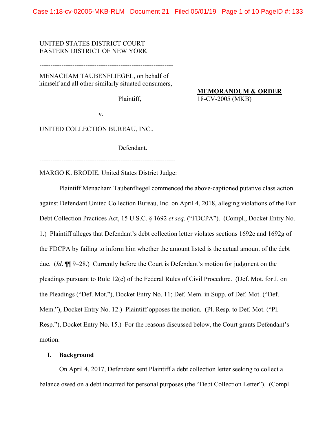## UNITED STATES DISTRICT COURT EASTERN DISTRICT OF NEW YORK

-------------------------------------------------------------

MENACHAM TAUBENFLIEGEL, on behalf of himself and all other similarly situated consumers,

Plaintiff,

**MEMORANDUM & ORDER**  18-CV-2005 (MKB)

v.

UNITED COLLECTION BUREAU, INC.,

Defendant.

--------------------------------------------------------------

MARGO K. BRODIE, United States District Judge:

Plaintiff Menacham Taubenfliegel commenced the above-captioned putative class action against Defendant United Collection Bureau, Inc. on April 4, 2018, alleging violations of the Fair Debt Collection Practices Act, 15 U.S.C. § 1692 *et seq*. ("FDCPA"). (Compl., Docket Entry No. 1.) Plaintiff alleges that Defendant's debt collection letter violates sections 1692e and 1692g of the FDCPA by failing to inform him whether the amount listed is the actual amount of the debt due. (*Id*. ¶¶ 9–28.) Currently before the Court is Defendant's motion for judgment on the pleadings pursuant to Rule 12(c) of the Federal Rules of Civil Procedure. (Def. Mot. for J. on the Pleadings ("Def. Mot."), Docket Entry No. 11; Def. Mem. in Supp. of Def. Mot. ("Def. Mem."), Docket Entry No. 12.) Plaintiff opposes the motion. (Pl. Resp. to Def. Mot. ("Pl. Resp."), Docket Entry No. 15.) For the reasons discussed below, the Court grants Defendant's motion.

## **I. Background**

On April 4, 2017, Defendant sent Plaintiff a debt collection letter seeking to collect a balance owed on a debt incurred for personal purposes (the "Debt Collection Letter"). (Compl.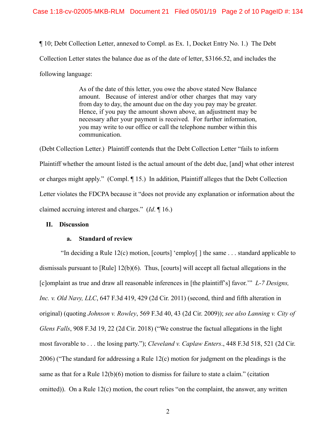¶ 10; Debt Collection Letter, annexed to Compl. as Ex. 1, Docket Entry No. 1.) The Debt Collection Letter states the balance due as of the date of letter, \$3166.52, and includes the following language:

> As of the date of this letter, you owe the above stated New Balance amount. Because of interest and/or other charges that may vary from day to day, the amount due on the day you pay may be greater. Hence, if you pay the amount shown above, an adjustment may be necessary after your payment is received. For further information, you may write to our office or call the telephone number within this communication.

(Debt Collection Letter.) Plaintiff contends that the Debt Collection Letter "fails to inform Plaintiff whether the amount listed is the actual amount of the debt due, [and] what other interest or charges might apply." (Compl. ¶ 15.) In addition, Plaintiff alleges that the Debt Collection Letter violates the FDCPA because it "does not provide any explanation or information about the claimed accruing interest and charges." (*Id*. ¶ 16.)

#### **II. Discussion**

### **a. Standard of review**

 "In deciding a Rule 12(c) motion, [courts] 'employ[ ] the same . . . standard applicable to dismissals pursuant to [Rule] 12(b)(6). Thus, [courts] will accept all factual allegations in the [c]omplaint as true and draw all reasonable inferences in [the plaintiff's] favor.'" *L-7 Designs, Inc. v. Old Navy, LLC*, 647 F.3d 419, 429 (2d Cir. 2011) (second, third and fifth alteration in original) (quoting *Johnson v. Rowley*, 569 F.3d 40, 43 (2d Cir. 2009)); *see also Lanning v. City of Glens Falls*, 908 F.3d 19, 22 (2d Cir. 2018) ("We construe the factual allegations in the light most favorable to . . . the losing party."); *Cleveland v. Caplaw Enters*., 448 F.3d 518, 521 (2d Cir. 2006) ("The standard for addressing a Rule 12(c) motion for judgment on the pleadings is the same as that for a Rule 12(b)(6) motion to dismiss for failure to state a claim." (citation omitted)). On a Rule 12(c) motion, the court relies "on the complaint, the answer, any written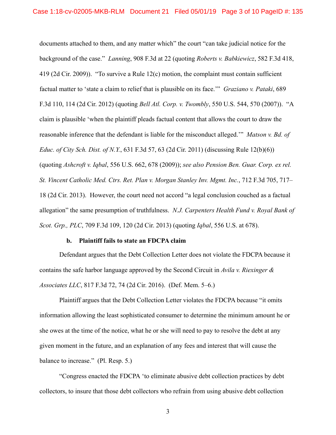documents attached to them, and any matter which" the court "can take judicial notice for the background of the case." *Lanning*, 908 F.3d at 22 (quoting *Roberts v. Babkiewicz*, 582 F.3d 418, 419 (2d Cir. 2009)). "To survive a Rule 12(c) motion, the complaint must contain sufficient factual matter to 'state a claim to relief that is plausible on its face.'" *Graziano v. Pataki*, 689 F.3d 110, 114 (2d Cir. 2012) (quoting *Bell Atl. Corp. v. Twombly*, 550 U.S. 544, 570 (2007)). "A claim is plausible 'when the plaintiff pleads factual content that allows the court to draw the reasonable inference that the defendant is liable for the misconduct alleged.'" *Matson v. Bd. of Educ. of City Sch. Dist. of N.Y.*, 631 F.3d 57, 63 (2d Cir. 2011) (discussing Rule 12(b)(6)) (quoting *Ashcroft v. Iqbal*, 556 U.S. 662, 678 (2009)); *see also Pension Ben. Guar. Corp. ex rel. St. Vincent Catholic Med. Ctrs. Ret. Plan v. Morgan Stanley Inv. Mgmt. Inc.*, 712 F.3d 705, 717– 18 (2d Cir. 2013). However, the court need not accord "a legal conclusion couched as a factual allegation" the same presumption of truthfulness. *N.J. Carpenters Health Fund v. Royal Bank of Scot. Grp., PLC*, 709 F.3d 109, 120 (2d Cir. 2013) (quoting *Iqbal*, 556 U.S. at 678).

#### **b. Plaintiff fails to state an FDCPA claim**

Defendant argues that the Debt Collection Letter does not violate the FDCPA because it contains the safe harbor language approved by the Second Circuit in *Avila v. Riexinger & Associates LLC*, 817 F.3d 72, 74 (2d Cir. 2016). (Def. Mem. 5–6.)

Plaintiff argues that the Debt Collection Letter violates the FDCPA because "it omits information allowing the least sophisticated consumer to determine the minimum amount he or she owes at the time of the notice, what he or she will need to pay to resolve the debt at any given moment in the future, and an explanation of any fees and interest that will cause the balance to increase." (Pl. Resp. 5.)

"Congress enacted the FDCPA 'to eliminate abusive debt collection practices by debt collectors, to insure that those debt collectors who refrain from using abusive debt collection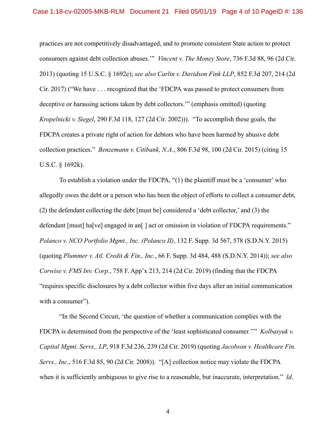practices are not competitively disadvantaged, and to promote consistent State action to protect consumers against debt collection abuses.'" *Vincent v. The Money Store*, 736 F.3d 88, 96 (2d Cir. 2013) (quoting 15 U.S.C. § 1692e); *see also Carlin v. Davidson Fink LLP*, 852 F.3d 207, 214 (2d Cir. 2017) ("We have . . . recognized that the 'FDCPA was passed to protect consumers from deceptive or harassing actions taken by debt collectors.'" (emphasis omitted) (quoting *Kropelnicki v. Siegel*, 290 F.3d 118, 127 (2d Cir. 2002))). "To accomplish these goals, the FDCPA creates a private right of action for debtors who have been harmed by abusive debt collection practices." *Benzemann v. Citibank, N.A.*, 806 F.3d 98, 100 (2d Cir. 2015) (citing 15 U.S.C. § 1692k).

To establish a violation under the FDCPA, "(1) the plaintiff must be a 'consumer' who allegedly owes the debt or a person who has been the object of efforts to collect a consumer debt, (2) the defendant collecting the debt [must be] considered a 'debt collector,' and (3) the defendant [must] ha[ve] engaged in an[] act or omission in violation of FDCPA requirements." *Polanco v. NCO Portfolio Mgmt., Inc. (Polanco II)*, 132 F. Supp. 3d 567, 578 (S.D.N.Y. 2015) (quoting *Plummer v. Atl. Credit & Fin., Inc.*, 66 F. Supp. 3d 484, 488 (S.D.N.Y. 2014)); *see also Corwise v. FMS Inv. Corp.*, 758 F. App'x 213, 214 (2d Cir. 2019) (finding that the FDCPA "requires specific disclosures by a debt collector within five days after an initial communication with a consumer").

"In the Second Circuit, 'the question of whether a communication complies with the FDCPA is determined from the perspective of the 'least sophisticated consumer.''" *Kolbasyuk v. Capital Mgmt. Servs., LP*, 918 F.3d 236, 239 (2d Cir. 2019) (quoting *Jacobson v. Healthcare Fin. Servs., Inc.*, 516 F.3d 85, 90 (2d Cir. 2008)). "[A] collection notice may violate the FDCPA when it is sufficiently ambiguous to give rise to a reasonable, but inaccurate, interpretation." *Id*.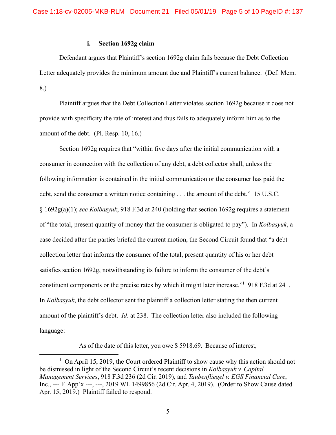## **i. Section 1692g claim**

Defendant argues that Plaintiff's section 1692g claim fails because the Debt Collection Letter adequately provides the minimum amount due and Plaintiff's current balance. (Def. Mem. 8.)

Plaintiff argues that the Debt Collection Letter violates section 1692g because it does not provide with specificity the rate of interest and thus fails to adequately inform him as to the amount of the debt. (Pl. Resp. 10, 16.)

Section 1692g requires that "within five days after the initial communication with a consumer in connection with the collection of any debt, a debt collector shall, unless the following information is contained in the initial communication or the consumer has paid the debt, send the consumer a written notice containing . . . the amount of the debt." 15 U.S.C. § 1692g(a)(1); *see Kolbasyuk*, 918 F.3d at 240 (holding that section 1692g requires a statement of "the total, present quantity of money that the consumer is obligated to pay"). In *Kolbasyuk*, a case decided after the parties briefed the current motion, the Second Circuit found that "a debt collection letter that informs the consumer of the total, present quantity of his or her debt satisfies section 1692g, notwithstanding its failure to inform the consumer of the debt's constituent components or the precise rates by which it might later increase."<sup>1</sup> 918 F.3d at 241. In *Kolbasyuk*, the debt collector sent the plaintiff a collection letter stating the then current amount of the plaintiff's debt. *Id*. at 238. The collection letter also included the following language:

As of the date of this letter, you owe \$ 5918.69. Because of interest,

 $\frac{1}{1}$  $1$  On April 15, 2019, the Court ordered Plaintiff to show cause why this action should not be dismissed in light of the Second Circuit's recent decisions in *Kolbasyuk v. Capital Management Services*, 918 F.3d 236 (2d Cir. 2019), and *Taubenfliegel v. EGS Financial Care*, Inc., --- F. App'x ---, ---, 2019 WL 1499856 (2d Cir. Apr. 4, 2019). (Order to Show Cause dated Apr. 15, 2019.) Plaintiff failed to respond.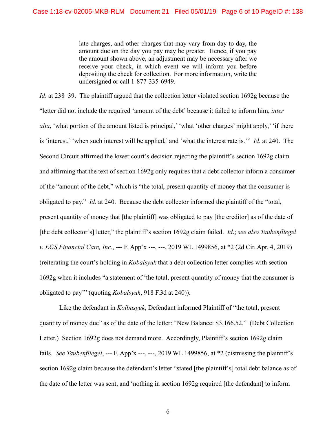late charges, and other charges that may vary from day to day, the amount due on the day you pay may be greater. Hence, if you pay the amount shown above, an adjustment may be necessary after we receive your check, in which event we will inform you before depositing the check for collection. For more information, write the undersigned or call 1-877-335-6949.

*Id.* at 238–39. The plaintiff argued that the collection letter violated section 1692g because the "letter did not include the required 'amount of the debt' because it failed to inform him, *inter alia*, 'what portion of the amount listed is principal,' 'what 'other charges' might apply,' 'if there is 'interest,' 'when such interest will be applied,' and 'what the interest rate is.'" *Id*. at 240. The Second Circuit affirmed the lower court's decision rejecting the plaintiff's section 1692g claim and affirming that the text of section 1692g only requires that a debt collector inform a consumer of the "amount of the debt," which is "the total, present quantity of money that the consumer is obligated to pay." *Id*. at 240. Because the debt collector informed the plaintiff of the "total, present quantity of money that [the plaintiff] was obligated to pay [the creditor] as of the date of [the debt collector's] letter," the plaintiff's section 1692g claim failed. *Id*.; *see also Taubenfliegel v. EGS Financial Care, Inc.*, --- F. App'x ---, ---, 2019 WL 1499856, at \*2 (2d Cir. Apr. 4, 2019) (reiterating the court's holding in *Kobalsyuk* that a debt collection letter complies with section 1692g when it includes "a statement of 'the total, present quantity of money that the consumer is obligated to pay'" (quoting *Kobalsyuk*, 918 F.3d at 240)).

Like the defendant in *Kolbasyuk*, Defendant informed Plaintiff of "the total, present quantity of money due" as of the date of the letter: "New Balance: \$3,166.52." (Debt Collection Letter.) Section 1692g does not demand more. Accordingly, Plaintiff's section 1692g claim fails. *See Taubenfliegel*, --- F. App'x ---, ---, 2019 WL 1499856, at \*2 (dismissing the plaintiff's section 1692g claim because the defendant's letter "stated [the plaintiff's] total debt balance as of the date of the letter was sent, and 'nothing in section 1692g required [the defendant] to inform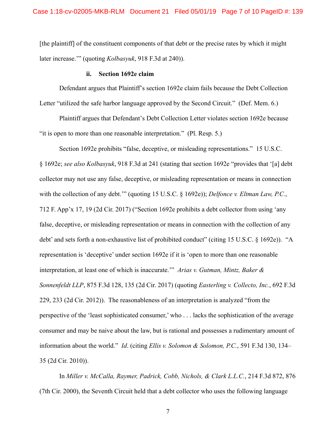[the plaintiff] of the constituent components of that debt or the precise rates by which it might later increase.'" (quoting *Kolbasyuk*, 918 F.3d at 240)).

#### **ii. Section 1692e claim**

Defendant argues that Plaintiff's section 1692e claim fails because the Debt Collection Letter "utilized the safe harbor language approved by the Second Circuit." (Def. Mem. 6.)

Plaintiff argues that Defendant's Debt Collection Letter violates section 1692e because "it is open to more than one reasonable interpretation." (Pl. Resp. 5.)

Section 1692e prohibits "false, deceptive, or misleading representations." 15 U.S.C. § 1692e; *see also Kolbasyuk*, 918 F.3d at 241 (stating that section 1692e "provides that '[a] debt collector may not use any false, deceptive, or misleading representation or means in connection with the collection of any debt.'" (quoting 15 U.S.C. § 1692e)); *Delfonce v. Eltman Law, P.C.*, 712 F. App'x 17, 19 (2d Cir. 2017) ("Section 1692e prohibits a debt collector from using 'any false, deceptive, or misleading representation or means in connection with the collection of any debt' and sets forth a non-exhaustive list of prohibited conduct" (citing 15 U.S.C. § 1692e)). "A representation is 'deceptive' under section 1692e if it is 'open to more than one reasonable interpretation, at least one of which is inaccurate.'" *Arias v. Gutman, Mintz, Baker & Sonnenfeldt LLP*, 875 F.3d 128, 135 (2d Cir. 2017) (quoting *Easterling v. Collecto, Inc.*, 692 F.3d 229, 233 (2d Cir. 2012)). The reasonableness of an interpretation is analyzed "from the perspective of the 'least sophisticated consumer,' who . . . lacks the sophistication of the average consumer and may be naive about the law, but is rational and possesses a rudimentary amount of information about the world." *Id*. (citing *Ellis v. Solomon & Solomon, P.C.*, 591 F.3d 130, 134– 35 (2d Cir. 2010)).

In *Miller v. McCalla, Raymer, Padrick, Cobb, Nichols, & Clark L.L.C.*, 214 F.3d 872, 876 (7th Cir. 2000), the Seventh Circuit held that a debt collector who uses the following language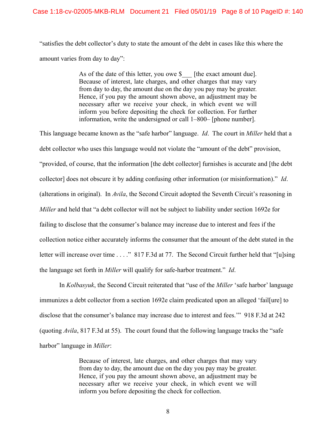"satisfies the debt collector's duty to state the amount of the debt in cases like this where the amount varies from day to day":

> As of the date of this letter, you owe \$ [the exact amount due]. Because of interest, late charges, and other charges that may vary from day to day, the amount due on the day you pay may be greater. Hence, if you pay the amount shown above, an adjustment may be necessary after we receive your check, in which event we will inform you before depositing the check for collection. For further information, write the undersigned or call 1–800– [phone number].

This language became known as the "safe harbor" language. *Id*. The court in *Miller* held that a debt collector who uses this language would not violate the "amount of the debt" provision, "provided, of course, that the information [the debt collector] furnishes is accurate and [the debt collector] does not obscure it by adding confusing other information (or misinformation)." *Id*. (alterations in original). In *Avila*, the Second Circuit adopted the Seventh Circuit's reasoning in *Miller* and held that "a debt collector will not be subject to liability under section 1692e for failing to disclose that the consumer's balance may increase due to interest and fees if the collection notice either accurately informs the consumer that the amount of the debt stated in the letter will increase over time . . . ." 817 F.3d at 77. The Second Circuit further held that "[u]sing the language set forth in *Miller* will qualify for safe-harbor treatment." *Id*.

In *Kolbasyuk*, the Second Circuit reiterated that "use of the *Miller* 'safe harbor' language immunizes a debt collector from a section 1692e claim predicated upon an alleged 'fail[ure] to disclose that the consumer's balance may increase due to interest and fees.'" 918 F.3d at 242 (quoting *Avila*, 817 F.3d at 55). The court found that the following language tracks the "safe harbor" language in *Miller*:

> Because of interest, late charges, and other charges that may vary from day to day, the amount due on the day you pay may be greater. Hence, if you pay the amount shown above, an adjustment may be necessary after we receive your check, in which event we will inform you before depositing the check for collection.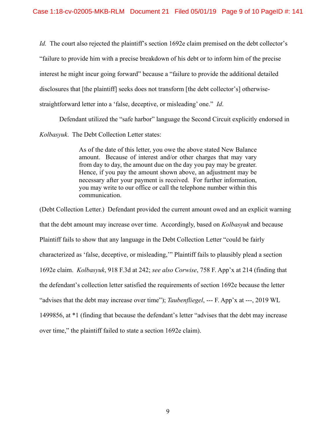*Id.* The court also rejected the plaintiff's section 1692e claim premised on the debt collector's "failure to provide him with a precise breakdown of his debt or to inform him of the precise interest he might incur going forward" because a "failure to provide the additional detailed disclosures that [the plaintiff] seeks does not transform [the debt collector's] otherwisestraightforward letter into a 'false, deceptive, or misleading' one." *Id*.

Defendant utilized the "safe harbor" language the Second Circuit explicitly endorsed in *Kolbasyuk*. The Debt Collection Letter states:

> As of the date of this letter, you owe the above stated New Balance amount. Because of interest and/or other charges that may vary from day to day, the amount due on the day you pay may be greater. Hence, if you pay the amount shown above, an adjustment may be necessary after your payment is received. For further information, you may write to our office or call the telephone number within this communication.

(Debt Collection Letter.) Defendant provided the current amount owed and an explicit warning that the debt amount may increase over time. Accordingly, based on *Kolbasyuk* and because Plaintiff fails to show that any language in the Debt Collection Letter "could be fairly characterized as 'false, deceptive, or misleading,'" Plaintiff fails to plausibly plead a section 1692e claim. *Kolbasyuk*, 918 F.3d at 242; *see also Corwise*, 758 F. App'x at 214 (finding that the defendant's collection letter satisfied the requirements of section 1692e because the letter "advises that the debt may increase over time"); *Taubenfliegel*, --- F. App'x at ---, 2019 WL 1499856, at \*1 (finding that because the defendant's letter "advises that the debt may increase over time," the plaintiff failed to state a section 1692e claim).